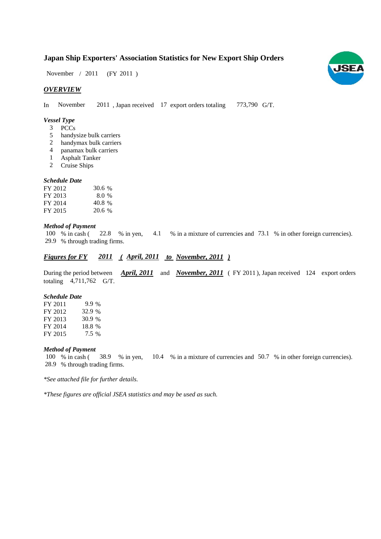# **Japan Ship Exporters' Association Statistics for New Export Ship Orders**

 $(FY 2011)$ November / 2011

## *OVERVIEW*

In November 2011, Japan received 17 export orders totaling 773,790 G/T.

#### *Vessel Type*

- PCCs 3
- handysize bulk carriers 5
- handymax bulk carriers 2
- panamax bulk carriers 4
- Asphalt Tanker 1
- Cruise Ships 2

#### *Schedule Date*

| FY 2012 | 30.6 % |
|---------|--------|
| FY 2013 | 8.0%   |
| FY 2014 | 40.8 % |
| FY 2015 | 20.6 % |

#### *Method of Payment*

% in cash ( $\frac{22.8}{8}$  % in yen,  $\frac{4.1}{8}$  % in a mixture of currencies and 73.1 % in other foreign currencies). % through trading firms. 29.9 100 % in cash ( 22.8 % in yen,

## *Figures for FY* 2011 (April, 2011 *to November, 2011*)

During the period between *April, 2011* and *November, 2011* (FY 2011), Japan received 124 export orders totaling  $4,711,762$  G/T.

#### *Schedule Date*

FY 2011 FY 2012 FY 2013 FY 2014 FY 2015 7.5 30.9 18.8 9.9% 32.9 %

#### *Method of Payment*

% in cash (38.9 % in yen, 10.4 % in a mixture of currencies and 50.7 % in other foreign currencies). % through trading firms. 28.9 100 % in cash (38.9 % in yen,

*\*See attached file for further details.*

*\*These figures are official JSEA statistics and may be used as such.*

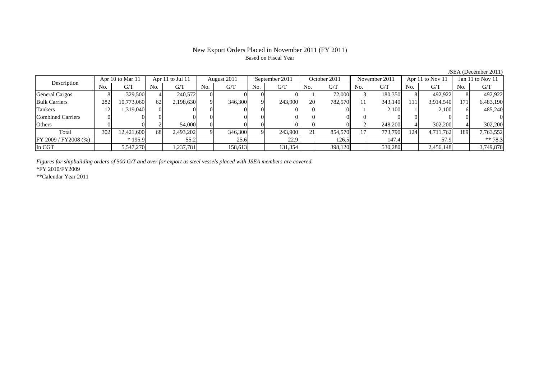## New Export Orders Placed in November 2011 (FY 2011) Based on Fiscal Year

| Description              |            | Apr 10 to Mar 11 |     | Apr 11 to Jul 11 |     | August 2011 |          | September 2011 |           | October 2011 |     | November 2011 |     | Apr 11 to Nov 11 |         | Jan 11 to Nov 11 |
|--------------------------|------------|------------------|-----|------------------|-----|-------------|----------|----------------|-----------|--------------|-----|---------------|-----|------------------|---------|------------------|
|                          | No.        | G/T              | No. | G/T              | No. | G/T         | No.      | G/T            | No.       | G/T          | No. | G/T           | No. | G/T              | No.     | G/T              |
| <b>General Cargos</b>    |            | 329,500          |     | 240.572          |     |             |          |                |           | 72,000       |     | 180,350       |     | 492.922          |         | 492,922          |
| <b>Bulk Carriers</b>     | 282        | 10,773,060       | 62  | 2,198,630        |     | 346,300     | $\Omega$ | 243,900        | <b>20</b> | 782,570      | 11  | 343,140       | 111 | 3,914,540        | $171_1$ | 6,483,190        |
| Tankers                  | $\sqrt{2}$ | 1,319,040        |     |                  |     |             |          |                |           |              |     | 2.100         |     | 2.100            |         | 485,240          |
| <b>Combined Carriers</b> |            |                  |     |                  |     |             |          |                |           |              |     |               |     |                  |         |                  |
| Others                   |            |                  |     | 54,000           |     |             |          |                |           |              |     | 248,200       |     | 302,200          |         | 302,200          |
| Total                    | 302        | 12,421,600       | 68  | 2,493,202        |     | 346,300     |          | 243,900        | 21        | 854,570      |     | 773,790       | 124 | 4,711,762        | 189     | 7,763,552        |
| FY 2009 / FY2008 (%)     |            | $*195.9$         |     | 55.2             |     | 25.6        |          | 22.9           |           | 126.5        |     | 147.4         |     | 57.9             |         | $** 78.3$        |
| In CGT                   |            | 5,547,270        |     | 237,781          |     | 158,613     |          | 131,354        |           | 398,120      |     | 530,280       |     | 2,456,148        |         | 3,749,878        |

*Figures for shipbuilding orders of 500 G/T and over for export as steel vessels placed with JSEA members are covered.*

\*FY 2010/FY2009

\*\*Calendar Year 2011

JSEA (December 2011)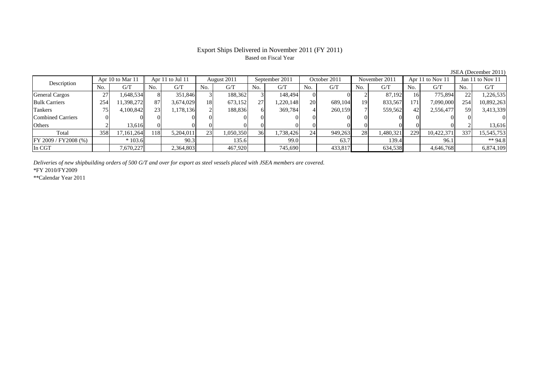## Export Ships Delivered in November 2011 (FY 2011) Based on Fiscal Year

JSEA (December 2011)

| Description           | Apr 10 to Mar 11 |            | Apr 11 to Jul 11 |           | August 2011     |           | September 2011 |           | October 2011 |         | November 2011 |           | Apr 11 to Nov 11 |            | Jan 11 to Nov 11 |            |
|-----------------------|------------------|------------|------------------|-----------|-----------------|-----------|----------------|-----------|--------------|---------|---------------|-----------|------------------|------------|------------------|------------|
|                       | No.              | G/T        | No.              | G/T       | No.             | G/T       | No.            | G/T       | No.          | G/T     | No.           | G/T       | No.              | G/T        | No.              | G/T        |
| <b>General Cargos</b> | 27               | .648.534   | 8                | 351.846   |                 | 188,362   |                | 148,494   | $\Omega$     |         |               | 87.192    | 16               | 775.894    |                  | ,226,535   |
| <b>Bulk Carriers</b>  | 254              | 11,398,272 | 87               | 3,674,029 | 18              | 673,152   | 27             | .220,148  | 20           | 689,104 | 19            | 833,567   | 171              | 7,090,000  | 254              | 10,892,263 |
| Tankers               | 75               | 4,100,842  | 23               | 1,178,136 |                 | 188,836   | 61             | 369,784   | 41           | 260,159 |               | 559,562   | 42               | 2,556,477  | 59               | 3,413,339  |
| Combined Carriers     |                  |            |                  |           |                 |           |                |           | $\Omega$     |         |               |           |                  |            |                  |            |
| <b>Others</b>         |                  | 13,616     |                  |           |                 |           |                |           |              |         |               |           |                  |            |                  | 13,616     |
| Total                 | 358              | 17.161.264 | 118              | 5,204,011 | 23 <sub>1</sub> | 1,050,350 | 36             | 1,738,426 | 24           | 949,263 | 28            | 1,480,321 | 229              | 10,422,371 | 337              | 15,545,753 |
| FY 2009 / FY2008 (%)  |                  | $*103.6$   |                  | 90.3      |                 | 135.6     |                | 99.0      |              | 63.7    |               | 139.4     |                  | 96.1       |                  | ** $94.8$  |
| In CGT                |                  | 7,670,227  |                  | 2,364,803 |                 | 467,920   |                | 745,690   |              | 433,817 |               | 634,538   |                  | 4,646,768  |                  | 6,874,109  |

*Deliveries of new shipbuilding orders of 500 G/T and over for export as steel vessels placed with JSEA members are covered.*

\*FY 2010/FY2009

\*\*Calendar Year 2011